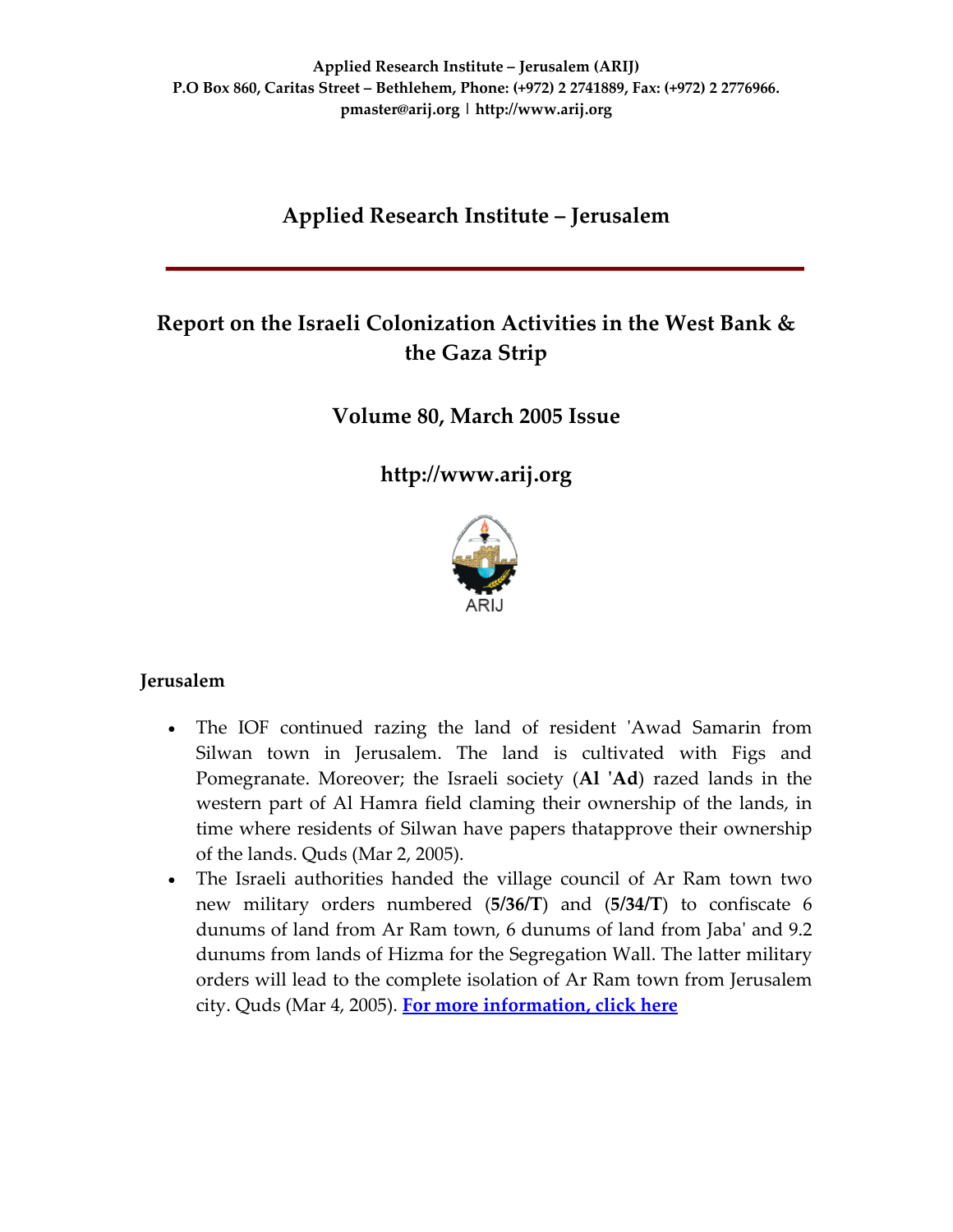# **Applied Research Institute – Jerusalem**

# **Report on the Israeli Colonization Activities in the West Bank & the Gaza Strip**

**Volume 80, March 2005 Issue**

**[http://www.arij.org](http://www.arij.org/)**



### **Jerusalem**

- The IOF continued razing the land of resident 'Awad Samarin from Silwan town in Jerusalem. The land is cultivated with Figs and Pomegranate. Moreover; the Israeli society (Al 'Ad) razed lands in the western part of Al Hamra field claming their ownership of the lands, in time where residents of Silwan have papers thatapprove their ownership of the lands. Quds (Mar 2, 2005).
- The Israeli authorities handed the village council of Ar Ram town two new military orders numbered (**5/36/T**) and (**5/34/T**) to confiscate 6 dunums of land from Ar Ram town, 6 dunums of land from Jabaʹ and 9.2 dunums from lands of Hizma for the Segregation Wall. The latter military orders will lead to the complete isolation of Ar Ram town from Jerusalem city. Quds (Mar 4, 2005). **For more [information,](http://www.poica.org/editor/case_studies/view.php?recordID=547) click here**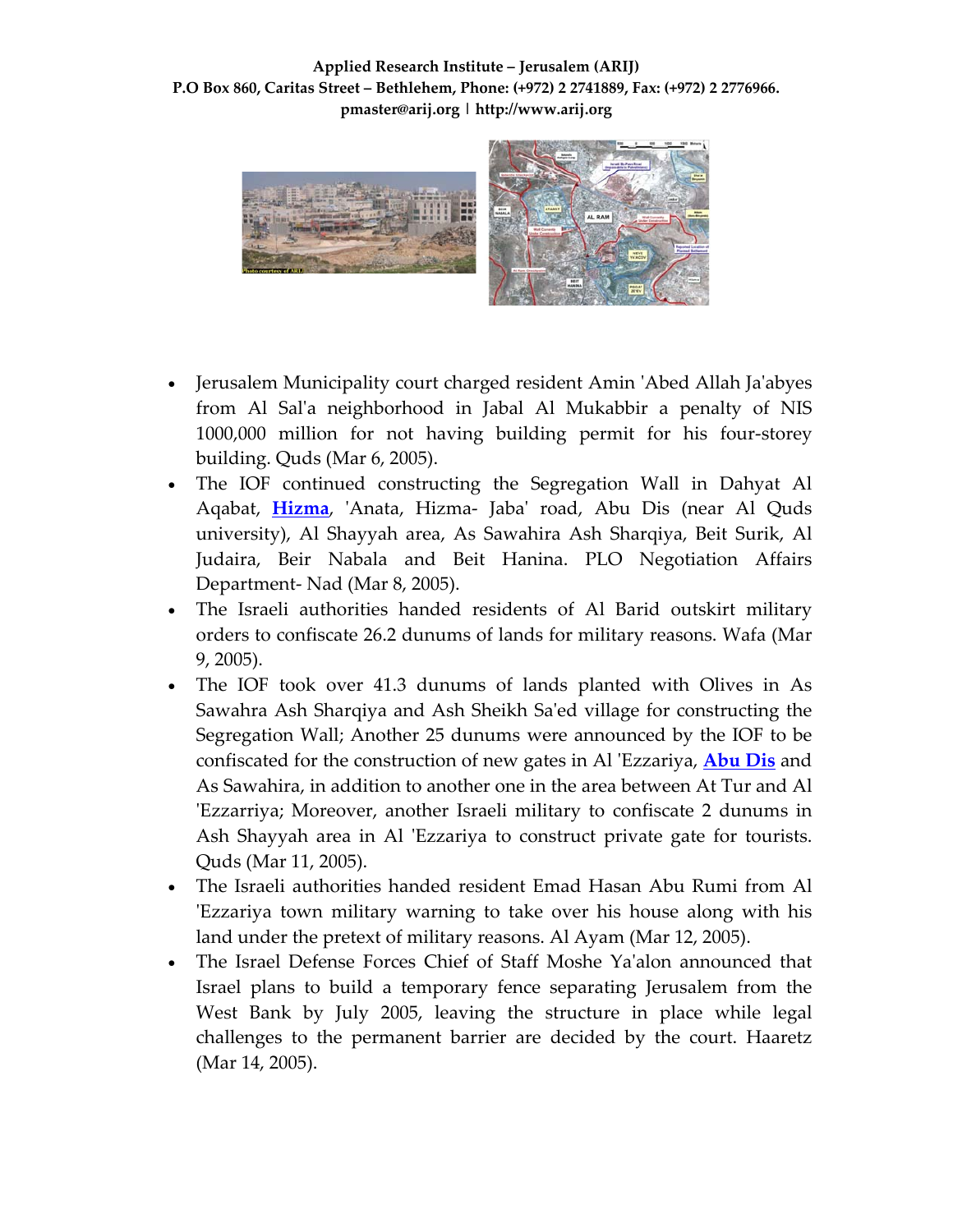**Applied Research Institute – Jerusalem (ARIJ) P.O Box 860, Caritas Street – Bethlehem, Phone: (+972) 2 2741889, Fax: (+972) 2 2776966. pmaster@arij.org | http://www.arij.org**



- Jerusalem Municipality court charged resident Amin ʹAbed Allah Jaʹabyes from Al Salʹa neighborhood in Jabal Al Mukabbir a penalty of NIS 1000,000 million for not having building permit for his four‐storey building. Quds (Mar 6, 2005).
- The IOF continued constructing the Segregation Wall in Dahyat Al Aqabat, [Hizma](http://www.poica.org/editor/case_studies/view.php?recordID=546), 'Anata, Hizma- Jaba' road, Abu Dis (near Al Quds university), Al Shayyah area, As Sawahira Ash Sharqiya, Beit Surik, Al Judaira, Beir Nabala and Beit Hanina. PLO Negotiation Affairs Department‐ Nad (Mar 8, 2005).
- The Israeli authorities handed residents of Al Barid outskirt military orders to confiscate 26.2 dunums of lands for military reasons. Wafa (Mar 9, 2005).
- The IOF took over 41.3 dunums of lands planted with Olives in As Sawahra Ash Sharqiya and Ash Sheikh Saʹed village for constructing the Segregation Wall; Another 25 dunums were announced by the IOF to be confiscated for the construction of new gates in Al ʹEzzariya, **[Abu](http://www.poica.org/editor/case_studies/view.php?recordID=331) Dis** and As Sawahira, in addition to another one in the area between At Tur and Al ʹEzzarriya; Moreover, another Israeli military to confiscate 2 dunums in Ash Shayyah area in Al 'Ezzariya to construct private gate for tourists. Quds (Mar 11, 2005).
- The Israeli authorities handed resident Emad Hasan Abu Rumi from Al ʹEzzariya town military warning to take over his house along with his land under the pretext of military reasons. Al Ayam (Mar 12, 2005).
- The Israel Defense Forces Chief of Staff Moshe Ya'alon announced that Israel plans to build a temporary fence separating Jerusalem from the West Bank by July 2005, leaving the structure in place while legal challenges to the permanent barrier are decided by the court. Haaretz (Mar 14, 2005).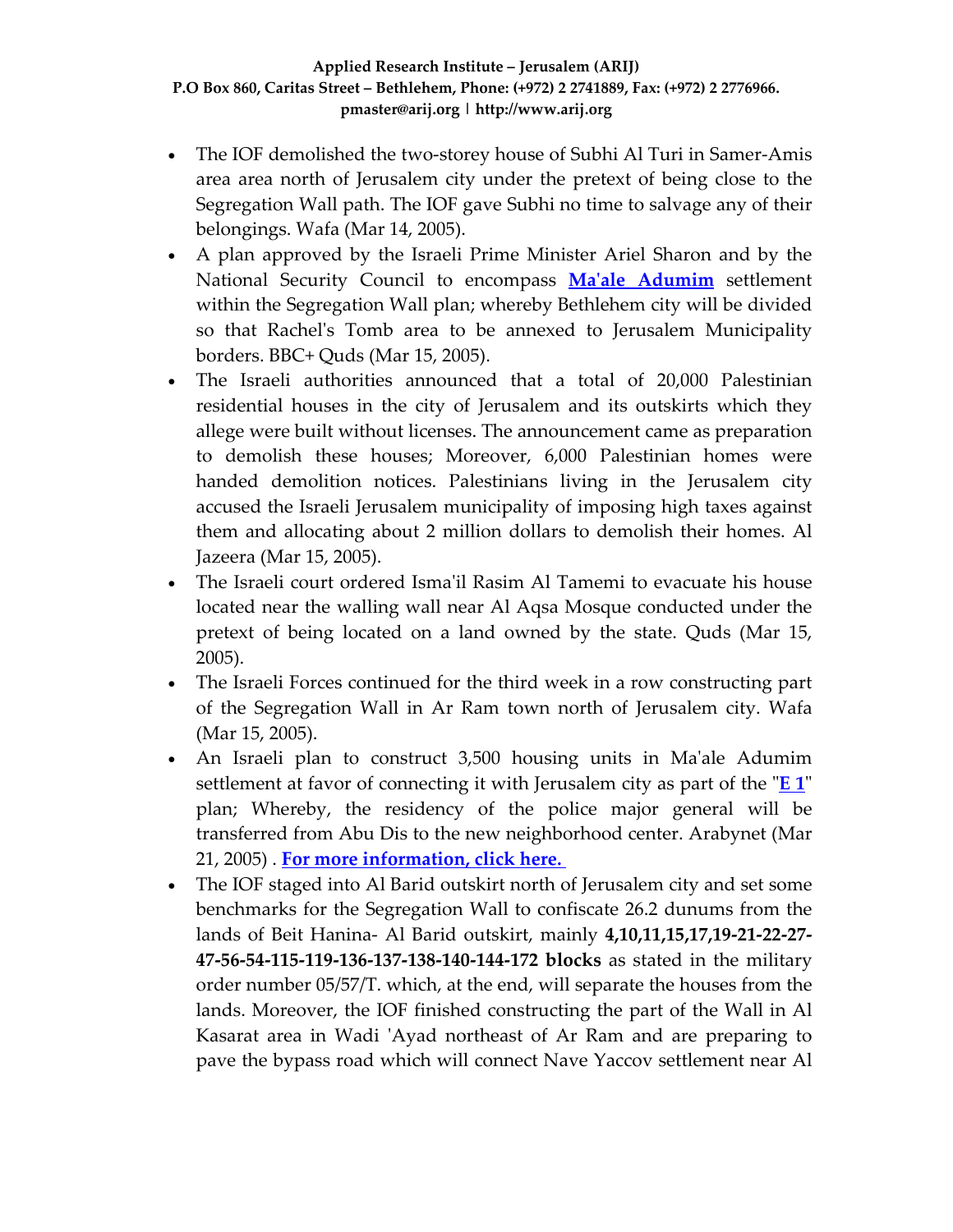- The IOF demolished the two-storey house of Subhi Al Turi in Samer-Amis area area north of Jerusalem city under the pretext of being close to the Segregation Wall path. The IOF gave Subhi no time to salvage any of their belongings. Wafa (Mar 14, 2005).
- A plan approved by the Israeli Prime Minister Ariel Sharon and by the National Security Council to encompass **Maʹale [Adumim](http://www.poica.org/editor/case_studies/view.php?recordID=428)** settlement within the Segregation Wall plan; whereby Bethlehem city will be divided so that Rachelʹs Tomb area to be annexed to Jerusalem Municipality borders. BBC+ Quds (Mar 15, 2005).
- The Israeli authorities announced that a total of 20,000 Palestinian residential houses in the city of Jerusalem and its outskirts which they allege were built without licenses. The announcement came as preparation to demolish these houses; Moreover, 6,000 Palestinian homes were handed demolition notices. Palestinians living in the Jerusalem city accused the Israeli Jerusalem municipality of imposing high taxes against them and allocating about 2 million dollars to demolish their homes. Al Jazeera (Mar 15, 2005).
- The Israeli court ordered Isma'il Rasim Al Tamemi to evacuate his house located near the walling wall near Al Aqsa Mosque conducted under the pretext of being located on a land owned by the state. Quds (Mar 15, 2005).
- The Israeli Forces continued for the third week in a row constructing part of the Segregation Wall in Ar Ram town north of Jerusalem city. Wafa (Mar 15, 2005).
- An Israeli plan to construct 3,500 housing units in Ma'ale Adumim settlement at favor of connecting it with Jerusalem city as part of the  $E_1$  $E_1$ <sup>n</sup> plan; Whereby, the residency of the police major general will be transferred from Abu Dis to the new neighborhood center. Arabynet (Mar 21, 2005) . **For more [information,](http://www.poica.org/editor/case_studies/view.php?recordID=889) click here.**
- The IOF staged into Al Barid outskirt north of Jerusalem city and set some benchmarks for the Segregation Wall to confiscate 26.2 dunums from the lands of Beit Hanina‐ Al Barid outskirt, mainly **4,10,11,15,17,19‐21‐22‐27‐** 47-56-54-115-119-136-137-138-140-144-172 blocks as stated in the military order number 05/57/T. which, at the end, will separate the houses from the lands. Moreover, the IOF finished constructing the part of the Wall in Al Kasarat area in Wadi 'Ayad northeast of Ar Ram and are preparing to pave the bypass road which will connect Nave Yaccov settlement near Al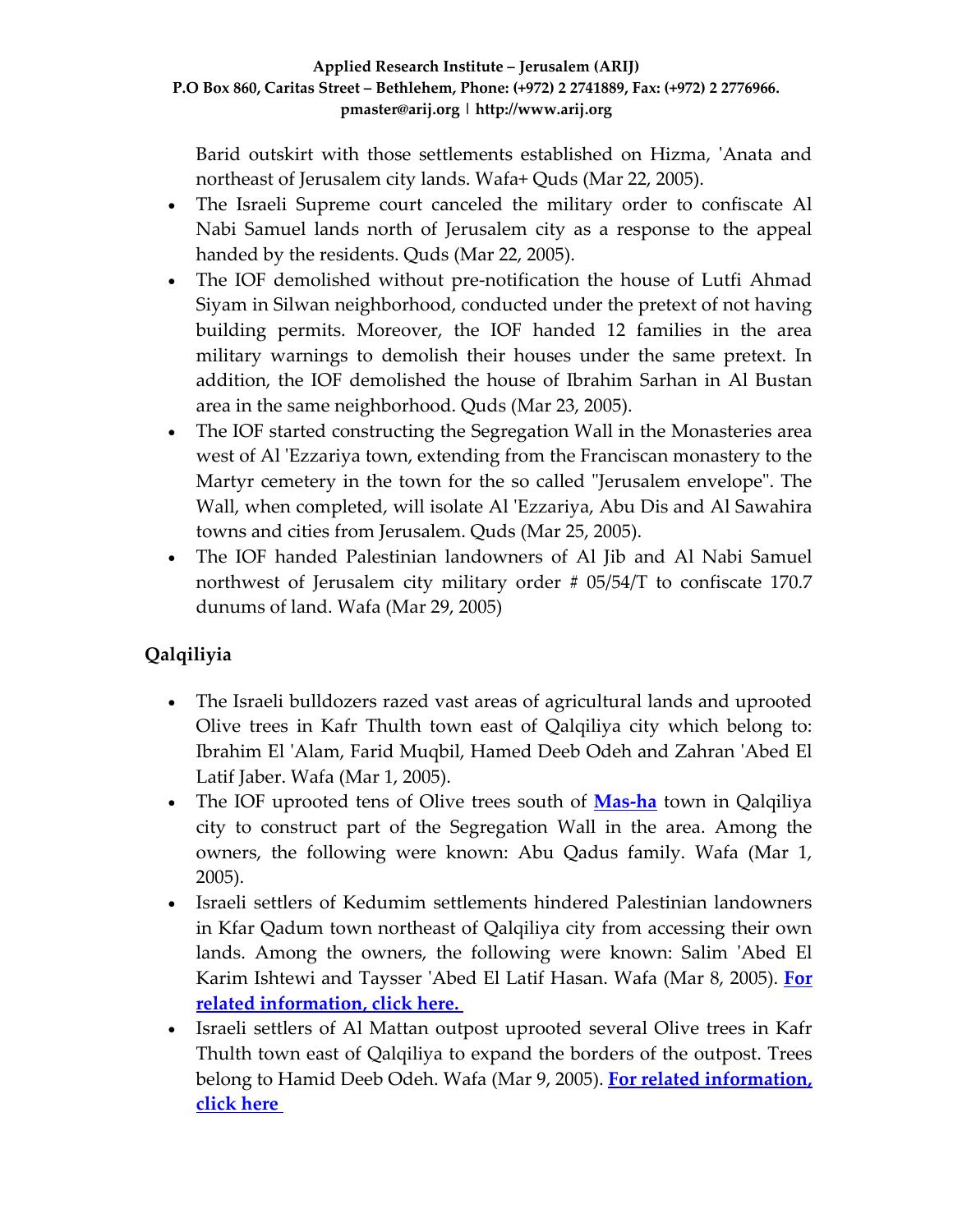Barid outskirt with those settlements established on Hizma, 'Anata and northeast of Jerusalem city lands. Wafa+ Quds (Mar 22, 2005).

- The Israeli Supreme court canceled the military order to confiscate Al Nabi Samuel lands north of Jerusalem city as a response to the appeal handed by the residents. Quds (Mar 22, 2005).
- The IOF demolished without pre-notification the house of Lutfi Ahmad Siyam in Silwan neighborhood, conducted under the pretext of not having building permits. Moreover, the IOF handed 12 families in the area military warnings to demolish their houses under the same pretext. In addition, the IOF demolished the house of Ibrahim Sarhan in Al Bustan area in the same neighborhood. Quds (Mar 23, 2005).
- The IOF started constructing the Segregation Wall in the Monasteries area west of Al 'Ezzariya town, extending from the Franciscan monastery to the Martyr cemetery in the town for the so called "Jerusalem envelope". The Wall, when completed, will isolate Al 'Ezzariya, Abu Dis and Al Sawahira towns and cities from Jerusalem. Quds (Mar 25, 2005).
- The IOF handed Palestinian landowners of Al Jib and Al Nabi Samuel northwest of Jerusalem city military order # 05/54/T to confiscate 170.7 dunums of land. Wafa (Mar 29, 2005)

# **Qalqiliyia**

- The Israeli bulldozers razed vast areas of agricultural lands and uprooted Olive trees in Kafr Thulth town east of Qalqiliya city which belong to: Ibrahim El ʹAlam, Farid Muqbil, Hamed Deeb Odeh and Zahran ʹAbed El Latif Jaber. Wafa (Mar 1, 2005).
- The IOF uprooted tens of Olive trees south of **[Mas](http://www.poica.org/editor/case_studies/view.php?recordID=377)‐ha** town in Qalqiliya city to construct part of the Segregation Wall in the area. Among the owners, the following were known: Abu Qadus family. Wafa (Mar 1, 2005).
- Israeli settlers of Kedumim settlements hindered Palestinian landowners in Kfar Qadum town northeast of Qalqiliya city from accessing their own lands. Among the owners, the following were known: Salim 'Abed El Karim Ishtewi and Taysser ʹAbed El Latif Hasan. Wafa (Mar 8, 2005). **[For](http://www.poica.org/editor/case_studies/view.php?recordID=97) related [information,](http://www.poica.org/editor/case_studies/view.php?recordID=97) click here.**
- Israeli settlers of Al Mattan outpost uprooted several Olive trees in Kafr Thulth town east of Qalqiliya to expand the borders of the outpost. Trees belong to Hamid Deeb Odeh. Wafa (Mar 9, 2005). **For related [information,](http://www.poica.org/editor/case_studies/view.php?recordID=382) [click](http://www.poica.org/editor/case_studies/view.php?recordID=382) here**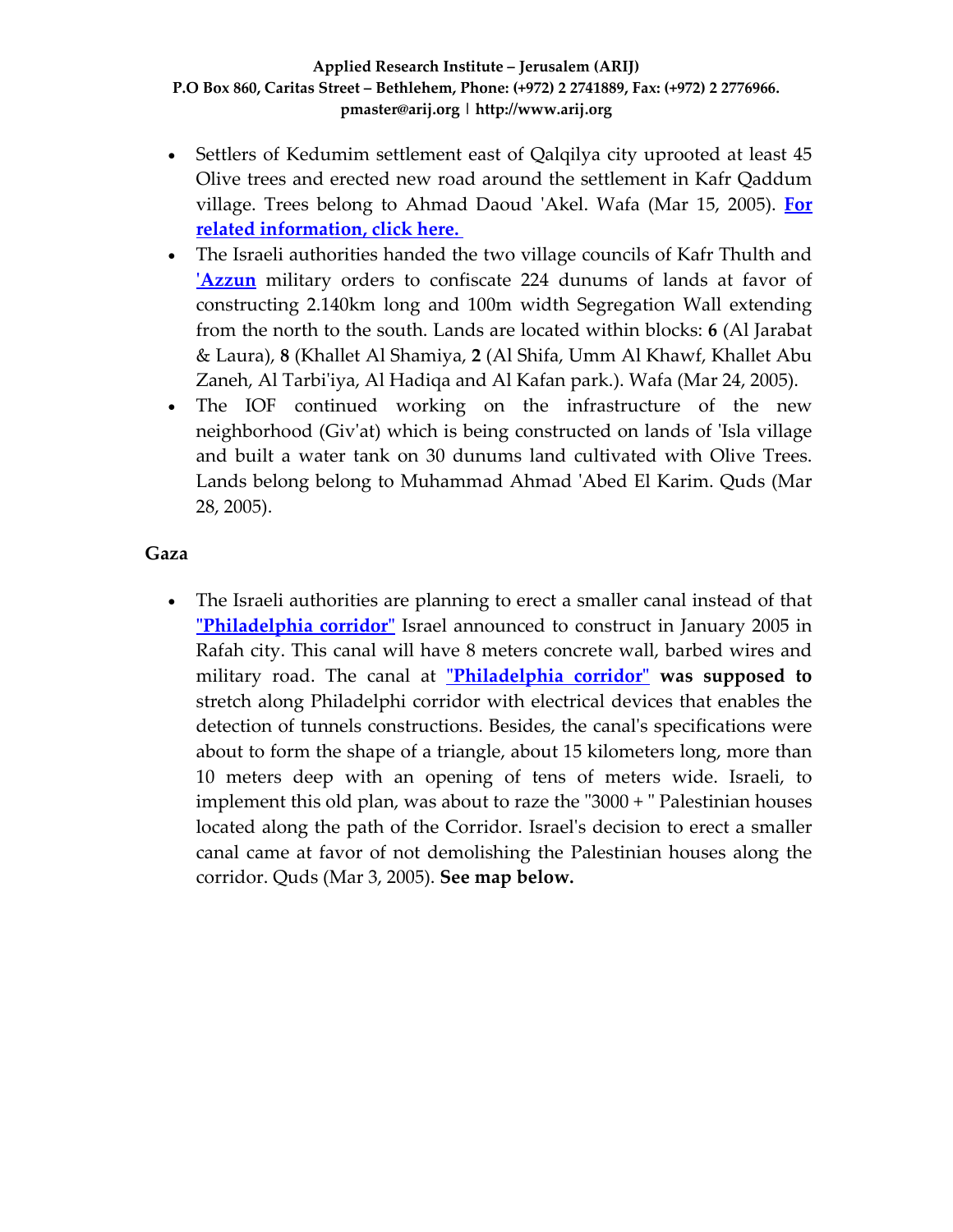- Settlers of Kedumim settlement east of Qalqilya city uprooted at least 45 Olive trees and erected new road around the settlement in Kafr Qaddum village. Trees belong to Ahmad Daoud ʹAkel. Wafa (Mar 15, 2005). **[For](http://www.poica.org/editor/case_studies/view.php?recordID=97) related [information,](http://www.poica.org/editor/case_studies/view.php?recordID=97) click here.**
- The Israeli authorities handed the two village councils of Kafr Thulth and **ʹ[Azzun](http://www.poica.org/editor/case_studies/view.php?recordID=395)** military orders to confiscate 224 dunums of lands at favor of constructing 2.140km long and 100m width Segregation Wall extending from the north to the south. Lands are located within blocks: **6** (Al Jarabat & Laura), **8** (Khallet Al Shamiya, **2** (Al Shifa, Umm Al Khawf, Khallet Abu Zaneh, Al Tarbi'iya, Al Hadiqa and Al Kafan park.). Wafa (Mar 24, 2005).
- The IOF continued working on the infrastructure of the new neighborhood (Givʹat) which is being constructed on lands of ʹIsla village and built a water tank on 30 dunums land cultivated with Olive Trees. Lands belong belong to Muhammad Ahmad ʹAbed El Karim. Quds (Mar 28, 2005).

### **Gaza**

• The Israeli authorities are planning to erect a smaller canal instead of that **[Philadelphia](http://www.arij.org/index.php?option=com_content&task=view&id=16&Itemid=26&lang=en) corridor** Israel announced to construct in January 2005 in Rafah city. This canal will have 8 meters concrete wall, barbed wires and military road. The canal at **ʺ[Philadelphia](http://www.arij.org/index.php?option=com_content&task=view&id=16&Itemid=26&lang=en) corridorʺ was supposed to** stretch along Philadelphi corridor with electrical devices that enables the detection of tunnels constructions. Besides, the canalʹs specifications were about to form the shape of a triangle, about 15 kilometers long, more than 10 meters deep with an opening of tens of meters wide. Israeli, to implement this old plan, was about to raze the  $"3000 + "Palestinian houses$ located along the path of the Corridor. Israelʹs decision to erect a smaller canal came at favor of not demolishing the Palestinian houses along the corridor. Quds (Mar 3, 2005). **See map below.**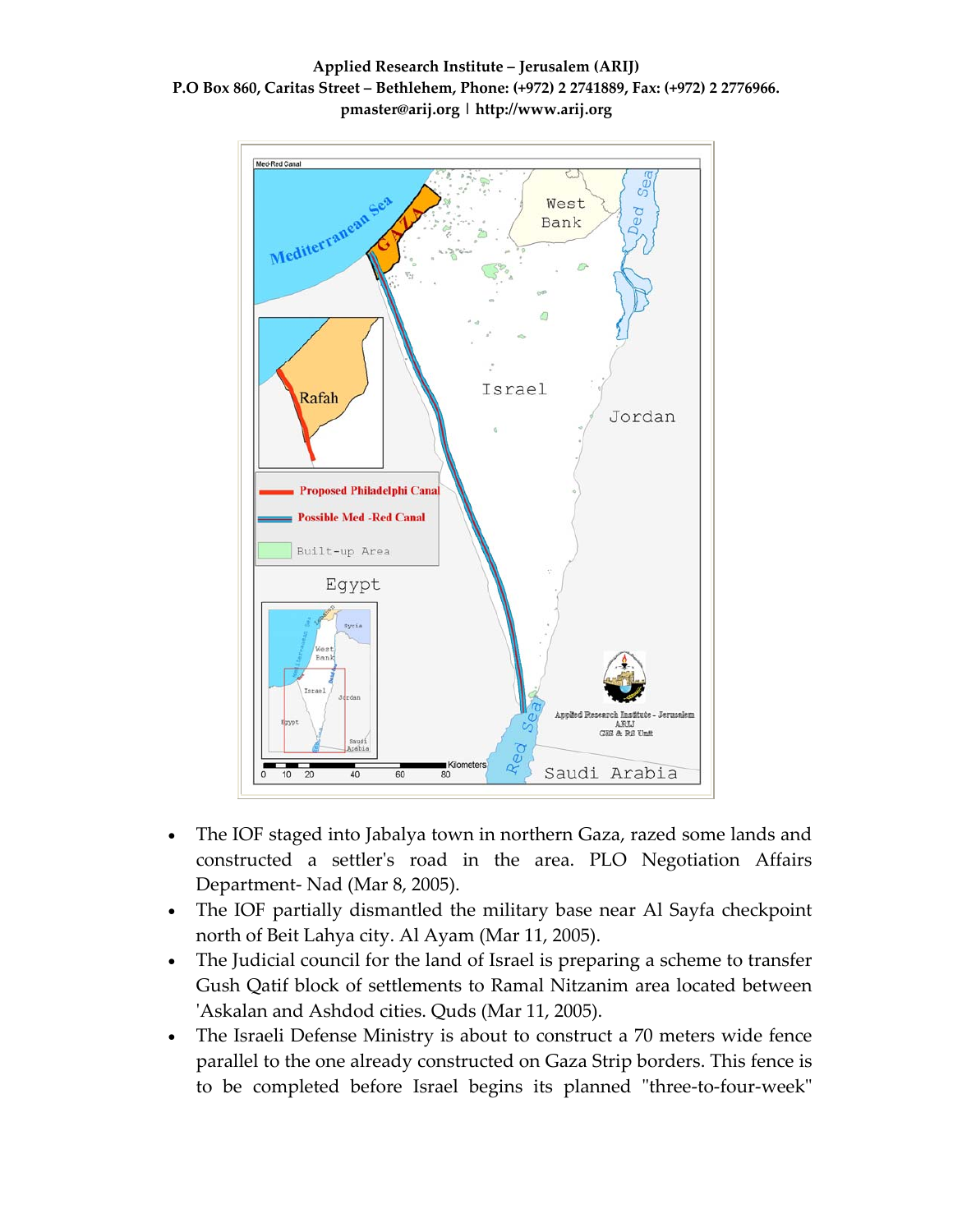



- The IOF staged into Jabalya town in northern Gaza, razed some lands and constructed a settlerʹs road in the area. PLO Negotiation Affairs Department‐ Nad (Mar 8, 2005).
- The IOF partially dismantled the military base near Al Sayfa checkpoint north of Beit Lahya city. Al Ayam (Mar 11, 2005).
- The Judicial council for the land of Israel is preparing a scheme to transfer Gush Qatif block of settlements to Ramal Nitzanim area located between ʹAskalan and Ashdod cities. Quds (Mar 11, 2005).
- The Israeli Defense Ministry is about to construct a 70 meters wide fence parallel to the one already constructed on Gaza Strip borders. This fence is to be completed before Israel begins its planned "three-to-four-week"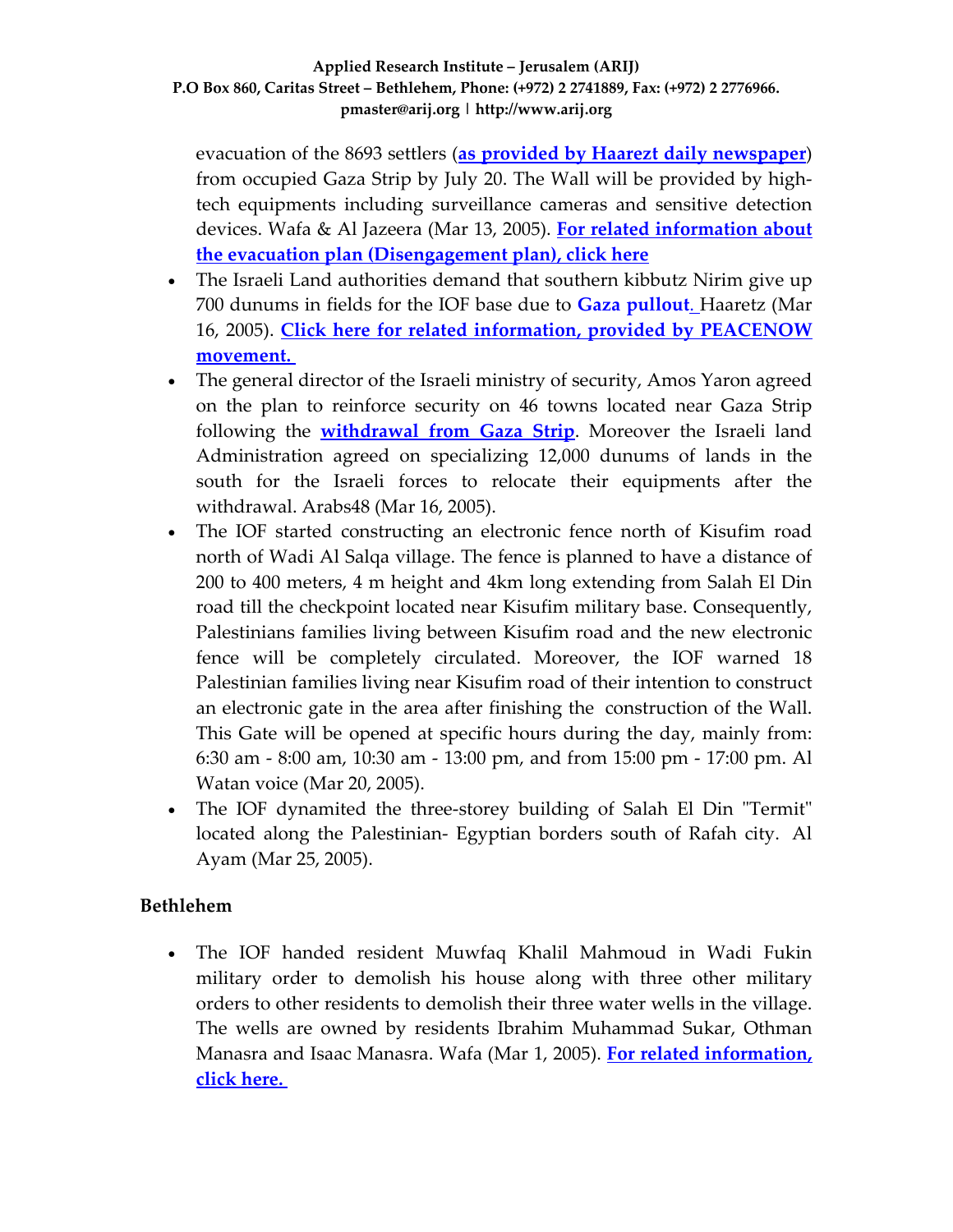evacuation of the 8693 settlers (**as provided by Haarezt daily [newspaper](http://www.haaretz.com/hasen/pages/ShArt.jhtml?itemNo=525011&contrassID=13)**) from occupied Gaza Strip by July 20. The Wall will be provided by high‐ tech equipments including surveillance cameras and sensitive detection devices. Wafa & Al Jazeera (Mar 13, 2005). **For related [information](http://www.poica.org/editor/case_studies/view.php?recordID=359) about the evacuation plan [\(Disengagement](http://www.poica.org/editor/case_studies/view.php?recordID=359) plan), click here**

- The Israeli Land authorities demand that southern kibbutz Nirim give up 700 dunums in fields for the IOF base due to **Gaza [pullout](http://www.poica.org/editor/case_studies/view.php?recordID=364)**[.](http://www.poica.org/editor/case_studies/view.php?recordID=364) Haaretz (Mar 16, 2005). **Click here for related information, provided by [PEACENOW](http://www.peacenow.org.il/site/en/peace.asp?pi=61&fld=191&docid=1192) [movement.](http://www.peacenow.org.il/site/en/peace.asp?pi=61&fld=191&docid=1192)**
- The general director of the Israeli ministry of security, Amos Yaron agreed on the plan to reinforce security on 46 towns located near Gaza Strip following the **[withdrawal](http://www.poica.org/editor/case_studies/view.php?recordID=364) from Gaza Strip**. Moreover the Israeli land Administration agreed on specializing 12,000 dunums of lands in the south for the Israeli forces to relocate their equipments after the withdrawal. Arabs48 (Mar 16, 2005).
- The IOF started constructing an electronic fence north of Kisufim road north of Wadi Al Salqa village. The fence is planned to have a distance of 200 to 400 meters, 4 m height and 4km long extending from Salah El Din road till the checkpoint located near Kisufim military base. Consequently, Palestinians families living between Kisufim road and the new electronic fence will be completely circulated. Moreover, the IOF warned 18 Palestinian families living near Kisufim road of their intention to construct an electronic gate in the area after finishing the construction of the Wall. This Gate will be opened at specific hours during the day, mainly from: 6:30 am ‐ 8:00 am, 10:30 am ‐ 13:00 pm, and from 15:00 pm ‐ 17:00 pm. Al Watan voice (Mar 20, 2005).
- The IOF dynamited the three-storey building of Salah El Din "Termit" located along the Palestinian‐ Egyptian borders south of Rafah city. Al Ayam (Mar 25, 2005).

## **Bethlehem**

• The IOF handed resident Muwfaq Khalil Mahmoud in Wadi Fukin military order to demolish his house along with three other military orders to other residents to demolish their three water wells in the village. The wells are owned by residents Ibrahim Muhammad Sukar, Othman Manasra and Isaac Manasra. Wafa (Mar 1, 2005). **For related [information,](http://www.poica.org/editor/case_studies/view.php?recordID=211) click [here.](http://www.poica.org/editor/case_studies/view.php?recordID=211)**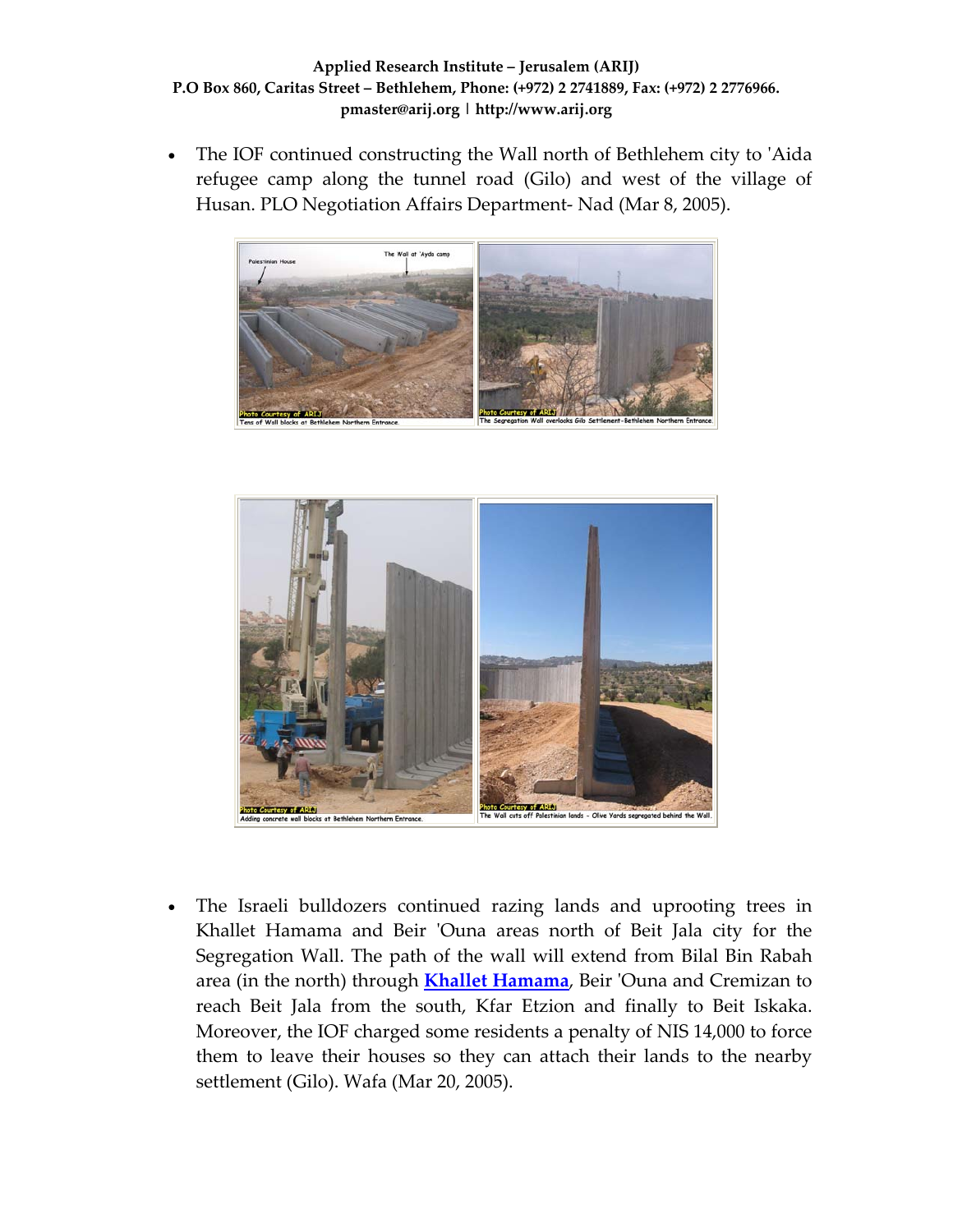The IOF continued constructing the Wall north of Bethlehem city to 'Aida refugee camp along the tunnel road (Gilo) and west of the village of Husan. PLO Negotiation Affairs Department‐ Nad (Mar 8, 2005).





• The Israeli bulldozers continued razing lands and uprooting trees in Khallet Hamama and Beir 'Ouna areas north of Beit Jala city for the Segregation Wall. The path of the wall will extend from Bilal Bin Rabah area (in the north) through **Khallet [Hamama](http://www.poica.org/editor/case_studies/view.php?recordID=389)**, Beir ʹOuna and Cremizan to reach Beit Jala from the south, Kfar Etzion and finally to Beit Iskaka. Moreover, the IOF charged some residents a penalty of NIS 14,000 to force them to leave their houses so they can attach their lands to the nearby settlement (Gilo). Wafa (Mar 20, 2005).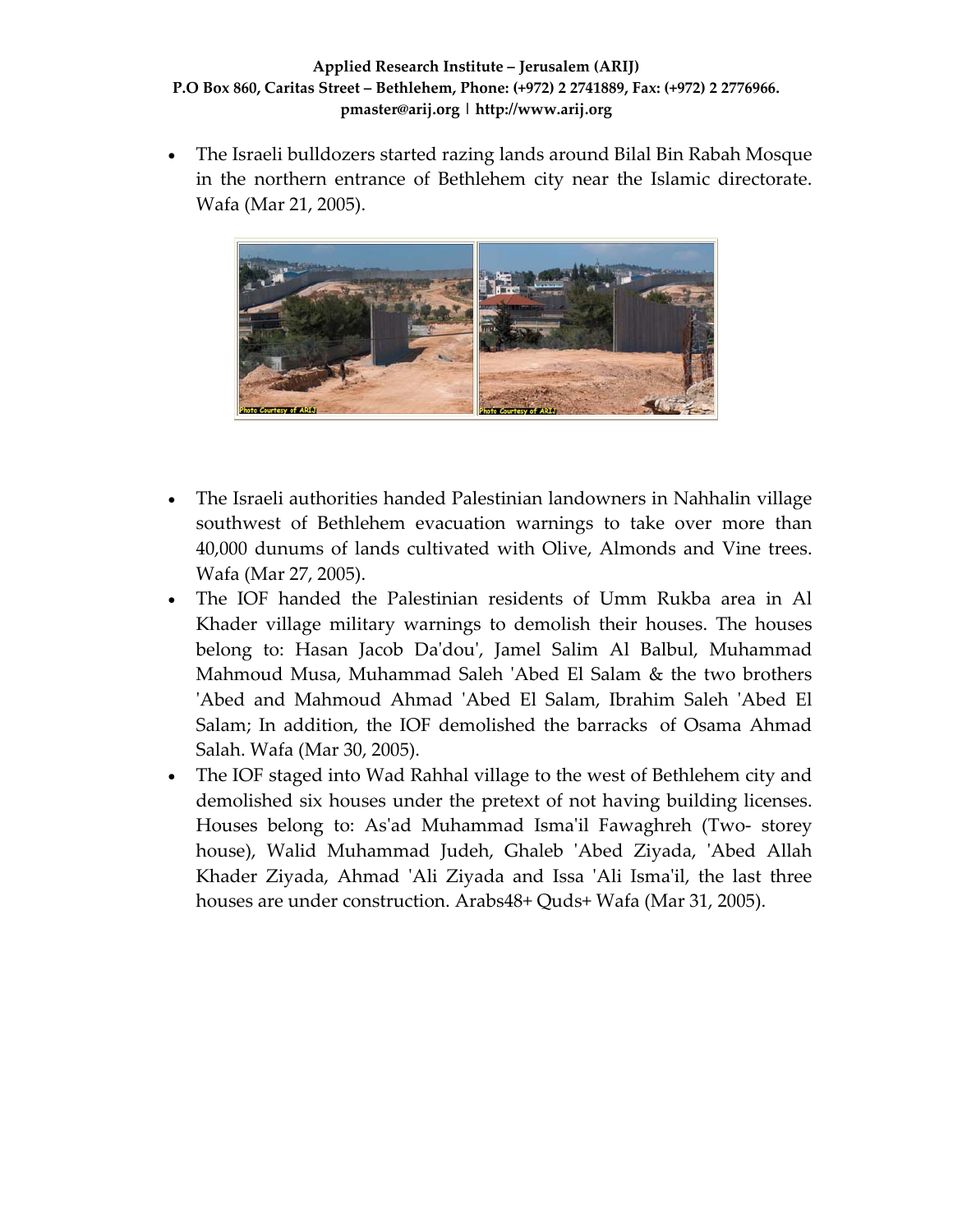• The Israeli bulldozers started razing lands around Bilal Bin Rabah Mosque in the northern entrance of Bethlehem city near the Islamic directorate. Wafa (Mar 21, 2005).



- The Israeli authorities handed Palestinian landowners in Nahhalin village southwest of Bethlehem evacuation warnings to take over more than 40,000 dunums of lands cultivated with Olive, Almonds and Vine trees. Wafa (Mar 27, 2005).
- The IOF handed the Palestinian residents of Umm Rukba area in Al Khader village military warnings to demolish their houses. The houses belong to: Hasan Jacob Daʹdouʹ, Jamel Salim Al Balbul, Muhammad Mahmoud Musa, Muhammad Saleh 'Abed El Salam & the two brothers ʹAbed and Mahmoud Ahmad ʹAbed El Salam, Ibrahim Saleh ʹAbed El Salam; In addition, the IOF demolished the barracks of Osama Ahmad Salah. Wafa (Mar 30, 2005).
- The IOF staged into Wad Rahhal village to the west of Bethlehem city and demolished six houses under the pretext of not having building licenses. Houses belong to: As'ad Muhammad Isma'il Fawaghreh (Two- storey house), Walid Muhammad Judeh, Ghaleb ʹAbed Ziyada, ʹAbed Allah Khader Ziyada, Ahmad 'Ali Ziyada and Issa 'Ali Isma'il, the last three houses are under construction. Arabs48+ Quds+ Wafa (Mar 31, 2005).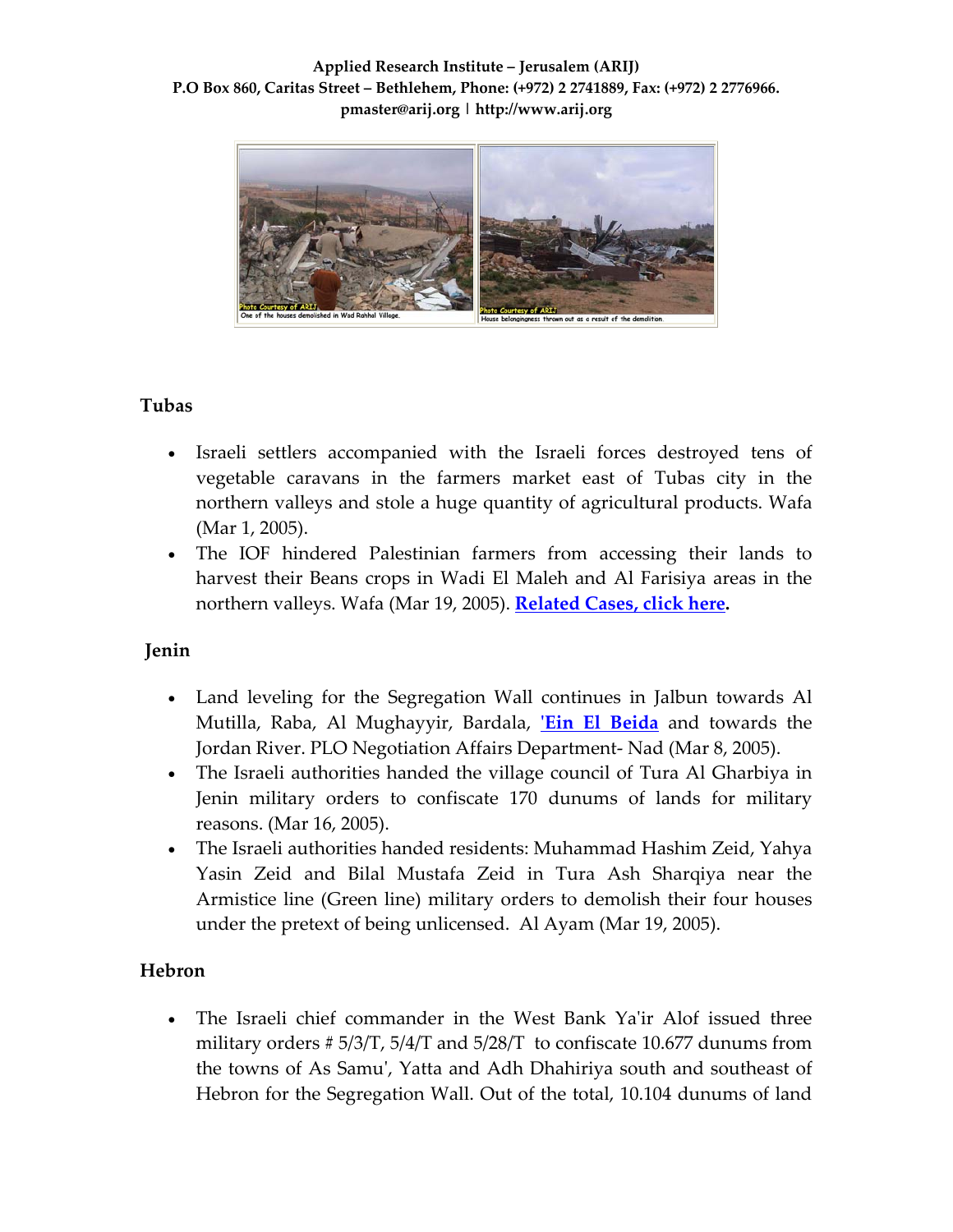

## **Tubas**

- Israeli settlers accompanied with the Israeli forces destroyed tens of vegetable caravans in the farmers market east of Tubas city in the northern valleys and stole a huge quantity of agricultural products. Wafa (Mar 1, 2005).
- The IOF hindered Palestinian farmers from accessing their lands to harvest their Beans crops in Wadi El Maleh and Al Farisiya areas in the northern valleys. Wafa (Mar 19, 2005). **[Related](http://www.poica.org/editor/case_studies/view.php?recordID=322) Cases, click here.**

## **Jenin**

- Land leveling for the Segregation Wall continues in Jalbun towards Al Mutilla, Raba, Al Mughayyir, Bardala, **ʹEin El [Beida](http://www.poica.org/editor/case_studies/view.php?recordID=375)** and towards the Jordan River. PLO Negotiation Affairs Department‐ Nad (Mar 8, 2005).
- The Israeli authorities handed the village council of Tura Al Gharbiya in Jenin military orders to confiscate 170 dunums of lands for military reasons. (Mar 16, 2005).
- The Israeli authorities handed residents: Muhammad Hashim Zeid, Yahya Yasin Zeid and Bilal Mustafa Zeid in Tura Ash Sharqiya near the Armistice line (Green line) military orders to demolish their four houses under the pretext of being unlicensed. Al Ayam (Mar 19, 2005).

## **Hebron**

• The Israeli chief commander in the West Bank Ya'ir Alof issued three military orders # 5/3/T, 5/4/T and 5/28/T to confiscate 10.677 dunums from the towns of As Samuʹ, Yatta and Adh Dhahiriya south and southeast of Hebron for the Segregation Wall. Out of the total, 10.104 dunums of land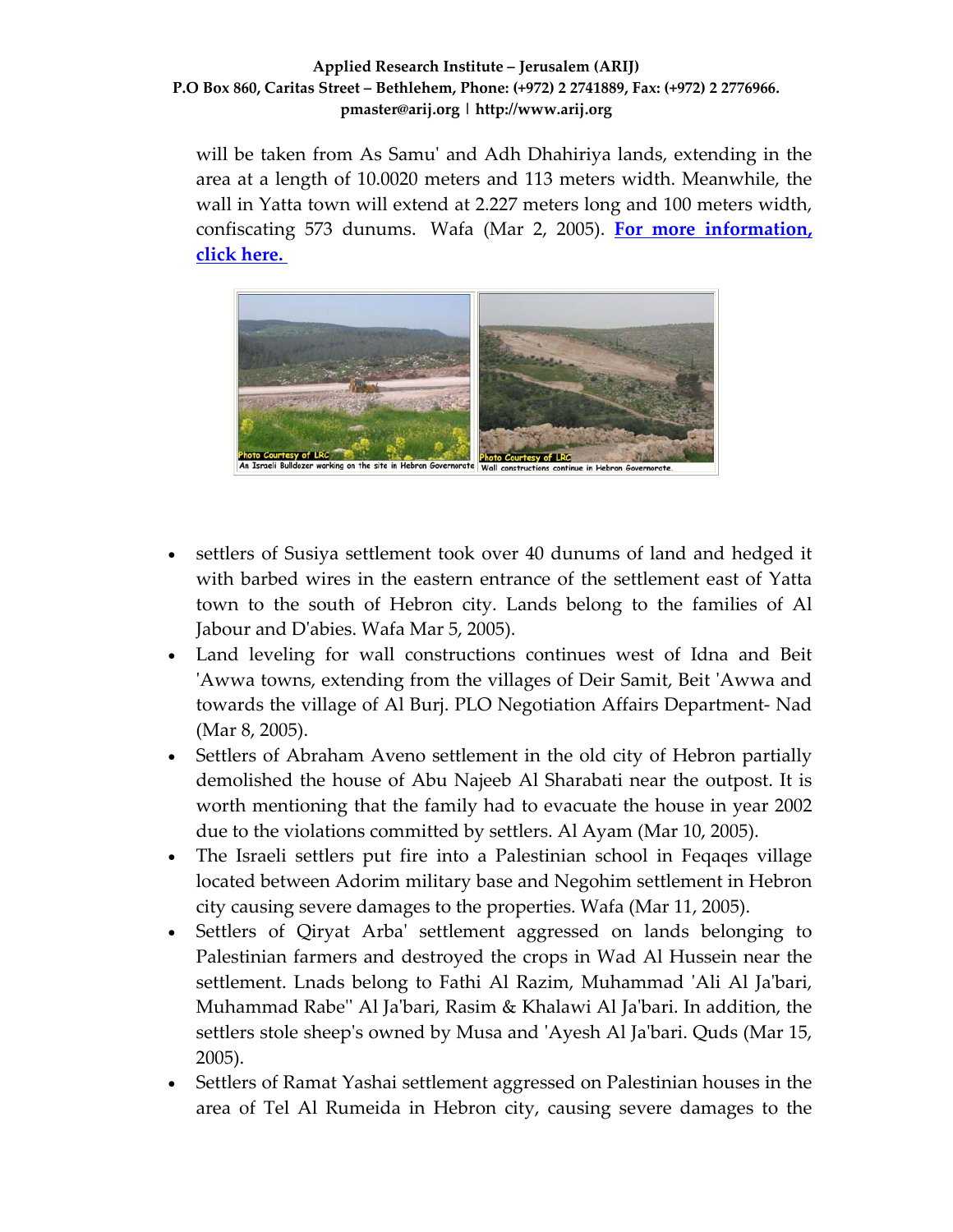will be taken from As Samu' and Adh Dhahiriya lands, extending in the area at a length of 10.0020 meters and 113 meters width. Meanwhile, the wall in Yatta town will extend at 2.227 meters long and 100 meters width, confiscating 573 dunums. Wafa (Mar 2, 2005). **For more [information,](http://www.poica.org/editor/case_studies/view.php?recordID=535) click [here.](http://www.poica.org/editor/case_studies/view.php?recordID=535)**



- settlers of Susiya settlement took over 40 dunums of land and hedged it with barbed wires in the eastern entrance of the settlement east of Yatta town to the south of Hebron city. Lands belong to the families of Al Jabour and Dʹabies. Wafa Mar 5, 2005).
- Land leveling for wall constructions continues west of Idna and Beit ʹAwwa towns, extending from the villages of Deir Samit, Beit ʹAwwa and towards the village of Al Burj. PLO Negotiation Affairs Department‐ Nad (Mar 8, 2005).
- Settlers of Abraham Aveno settlement in the old city of Hebron partially demolished the house of Abu Najeeb Al Sharabati near the outpost. It is worth mentioning that the family had to evacuate the house in year 2002 due to the violations committed by settlers. Al Ayam (Mar 10, 2005).
- The Israeli settlers put fire into a Palestinian school in Feqaqes village located between Adorim military base and Negohim settlement in Hebron city causing severe damages to the properties. Wafa (Mar 11, 2005).
- Settlers of Qiryat Arba' settlement aggressed on lands belonging to Palestinian farmers and destroyed the crops in Wad Al Hussein near the settlement. Lnads belong to Fathi Al Razim, Muhammad ʹAli Al Jaʹbari, Muhammad Rabeʹʹ Al Jaʹbari, Rasim & Khalawi Al Jaʹbari. In addition, the settlers stole sheepʹs owned by Musa and ʹAyesh Al Jaʹbari. Quds (Mar 15, 2005).
- Settlers of Ramat Yashai settlement aggressed on Palestinian houses in the area of Tel Al Rumeida in Hebron city, causing severe damages to the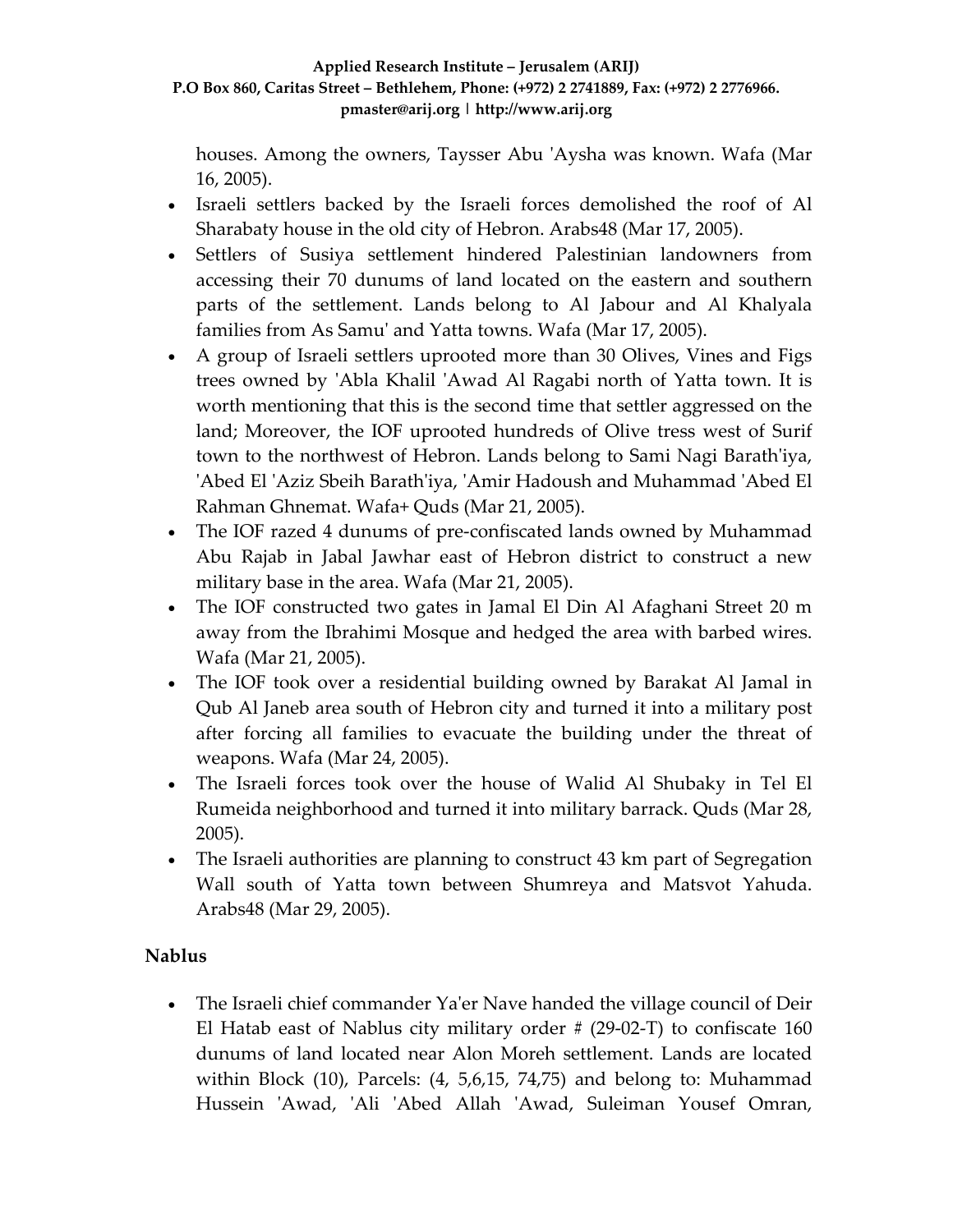houses. Among the owners, Taysser Abu ʹAysha was known. Wafa (Mar 16, 2005).

- Israeli settlers backed by the Israeli forces demolished the roof of Al Sharabaty house in the old city of Hebron. Arabs48 (Mar 17, 2005).
- Settlers of Susiya settlement hindered Palestinian landowners from accessing their 70 dunums of land located on the eastern and southern parts of the settlement. Lands belong to Al Jabour and Al Khalyala families from As Samuʹ and Yatta towns. Wafa (Mar 17, 2005).
- A group of Israeli settlers uprooted more than 30 Olives, Vines and Figs trees owned by 'Abla Khalil 'Awad Al Ragabi north of Yatta town. It is worth mentioning that this is the second time that settler aggressed on the land; Moreover, the IOF uprooted hundreds of Olive tress west of Surif town to the northwest of Hebron. Lands belong to Sami Nagi Barathʹiya, ʹAbed El ʹAziz Sbeih Barathʹiya, ʹAmir Hadoush and Muhammad ʹAbed El Rahman Ghnemat. Wafa+ Quds (Mar 21, 2005).
- The IOF razed 4 dunums of pre-confiscated lands owned by Muhammad Abu Rajab in Jabal Jawhar east of Hebron district to construct a new military base in the area. Wafa (Mar 21, 2005).
- The IOF constructed two gates in Jamal El Din Al Afaghani Street 20 m away from the Ibrahimi Mosque and hedged the area with barbed wires. Wafa (Mar 21, 2005).
- The IOF took over a residential building owned by Barakat Al Jamal in Qub Al Janeb area south of Hebron city and turned it into a military post after forcing all families to evacuate the building under the threat of weapons. Wafa (Mar 24, 2005).
- The Israeli forces took over the house of Walid Al Shubaky in Tel El Rumeida neighborhood and turned it into military barrack. Quds (Mar 28, 2005).
- The Israeli authorities are planning to construct 43 km part of Segregation Wall south of Yatta town between Shumreya and Matsvot Yahuda. Arabs48 (Mar 29, 2005).

# **Nablus**

• The Israeli chief commander Ya'er Nave handed the village council of Deir El Hatab east of Nablus city military order # (29‐02‐T) to confiscate 160 dunums of land located near Alon Moreh settlement. Lands are located within Block (10), Parcels: (4, 5,6,15, 74,75) and belong to: Muhammad Hussein 'Awad, 'Ali 'Abed Allah 'Awad, Suleiman Yousef Omran,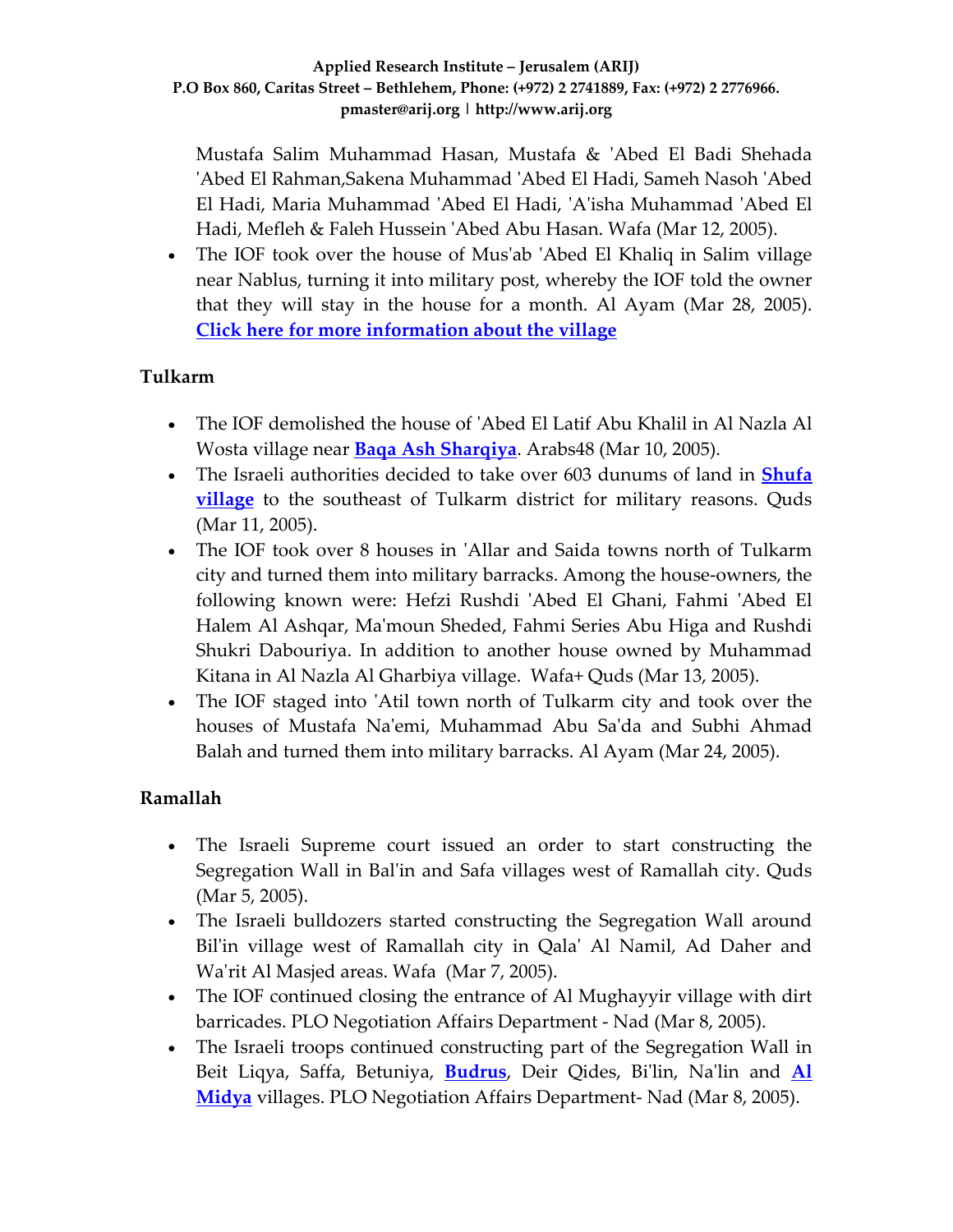Mustafa Salim Muhammad Hasan, Mustafa & ʹAbed El Badi Shehada ʹAbed El Rahman,Sakena Muhammad ʹAbed El Hadi, Sameh Nasoh ʹAbed El Hadi, Maria Muhammad ʹAbed El Hadi, ʹAʹisha Muhammad ʹAbed El Hadi, Mefleh & Faleh Hussein ʹAbed Abu Hasan. Wafa (Mar 12, 2005).

• The IOF took over the house of Mus'ab 'Abed El Khaliq in Salim village near Nablus, turning it into military post, whereby the IOF told the owner that they will stay in the house for a month. Al Ayam (Mar 28, 2005). **Click here for more [information](http://www.poica.org/editor/case_studies/view.php?recordID=193) about the village**

## **Tulkarm**

- The IOF demolished the house of 'Abed El Latif Abu Khalil in Al Nazla Al Wosta village near **Baqa Ash [Sharqiya](http://www.poica.org/editor/case_studies/view.php?recordID=284)**. Arabs48 (Mar 10, 2005).
- The Israeli authorities decided to take over 603 dunums of land in **[Shufa](http://www.poica.org/editor/case_studies/view.php?recordID=141) [village](http://www.poica.org/editor/case_studies/view.php?recordID=141)** to the southeast of Tulkarm district for military reasons. Quds (Mar 11, 2005).
- The IOF took over 8 houses in 'Allar and Saida towns north of Tulkarm city and turned them into military barracks. Among the house‐owners, the following known were: Hefzi Rushdi ʹAbed El Ghani, Fahmi ʹAbed El Halem Al Ashqar, Maʹmoun Sheded, Fahmi Series Abu Higa and Rushdi Shukri Dabouriya. In addition to another house owned by Muhammad Kitana in Al Nazla Al Gharbiya village. Wafa+ Quds (Mar 13, 2005).
- The IOF staged into 'Atil town north of Tulkarm city and took over the houses of Mustafa Naʹemi, Muhammad Abu Saʹda and Subhi Ahmad Balah and turned them into military barracks. Al Ayam (Mar 24, 2005).

### **Ramallah**

- The Israeli Supreme court issued an order to start constructing the Segregation Wall in Balʹin and Safa villages west of Ramallah city. Quds (Mar 5, 2005).
- The Israeli bulldozers started constructing the Segregation Wall around Bil'in village west of Ramallah city in Qala' Al Namil, Ad Daher and Wa'rit Al Masjed areas. Wafa (Mar 7, 2005).
- The IOF continued closing the entrance of Al Mughayyir village with dirt barricades. PLO Negotiation Affairs Department ‐ Nad (Mar 8, 2005).
- The Israeli troops continued constructing part of the Segregation Wall in Beit Liqya, Saffa, Betuniya, **[Budrus](http://www.poica.org/editor/case_studies/view.php?recordID=335)**, Deir Qides, Biʹlin, Naʹlin and **[Al](http://www.poica.org/editor/case_studies/view.php?recordID=285) [Midya](http://www.poica.org/editor/case_studies/view.php?recordID=285)** villages. PLO Negotiation Affairs Department‐ Nad (Mar 8, 2005).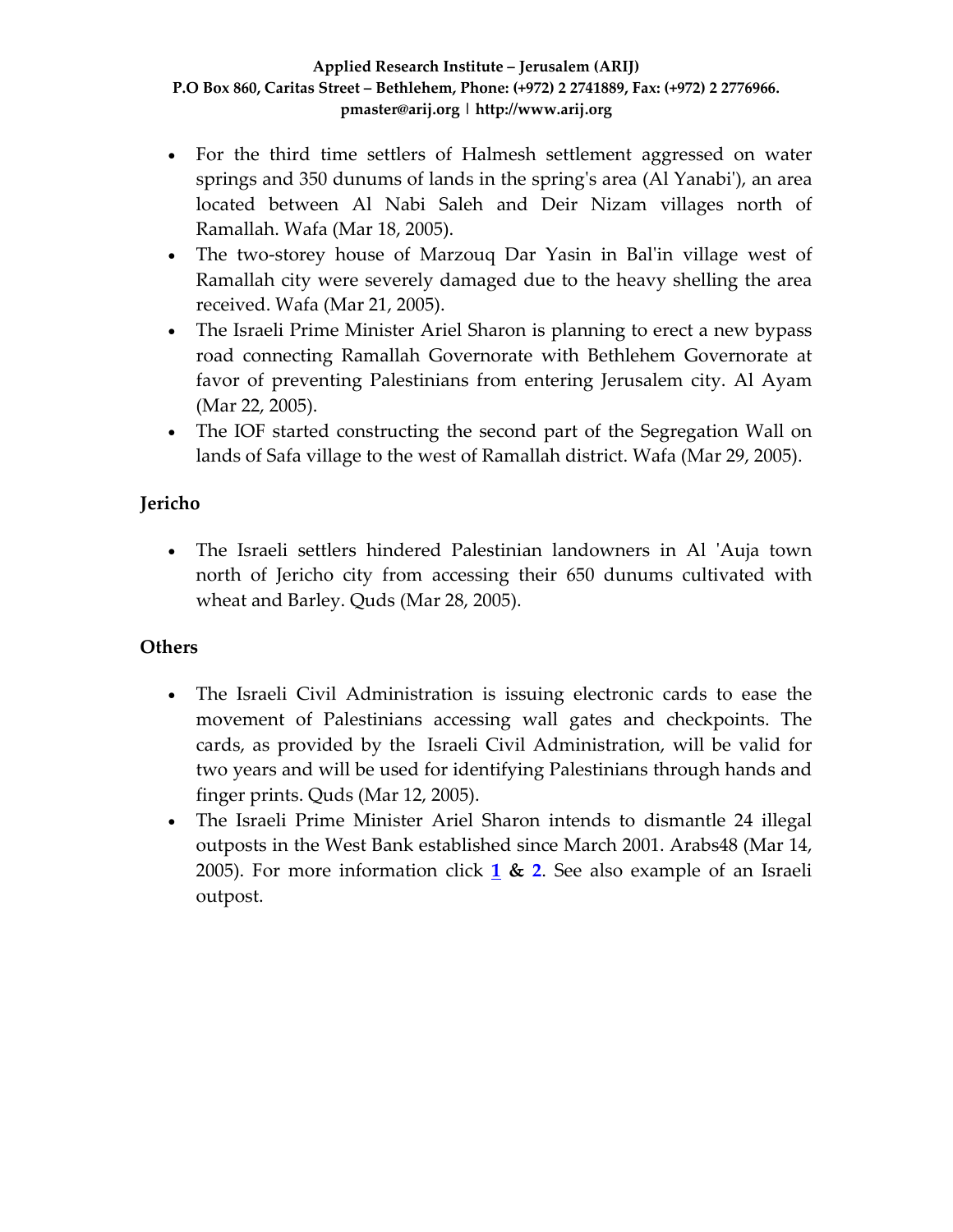- For the third time settlers of Halmesh settlement aggressed on water springs and 350 dunums of lands in the spring's area (Al Yanabi'), an area located between Al Nabi Saleh and Deir Nizam villages north of Ramallah. Wafa (Mar 18, 2005).
- The two-storey house of Marzouq Dar Yasin in Bal'in village west of Ramallah city were severely damaged due to the heavy shelling the area received. Wafa (Mar 21, 2005).
- The Israeli Prime Minister Ariel Sharon is planning to erect a new bypass road connecting Ramallah Governorate with Bethlehem Governorate at favor of preventing Palestinians from entering Jerusalem city. Al Ayam (Mar 22, 2005).
- The IOF started constructing the second part of the Segregation Wall on lands of Safa village to the west of Ramallah district. Wafa (Mar 29, 2005).

## **Jericho**

• The Israeli settlers hindered Palestinian landowners in Al 'Auja town north of Jericho city from accessing their 650 dunums cultivated with wheat and Barley. Quds (Mar 28, 2005).

## **Others**

- The Israeli Civil Administration is issuing electronic cards to ease the movement of Palestinians accessing wall gates and checkpoints. The cards, as provided by the Israeli Civil Administration, will be valid for two years and will be used for identifying Palestinians through hands and finger prints. Quds (Mar 12, 2005).
- The Israeli Prime Minister Ariel Sharon intends to dismantle 24 illegal outposts in the West Bank established since March 2001. Arabs48 (Mar 14, 2005). For more information click **[1](http://www.poica.org/editor/case_studies/view.php?recordID=480) & [2](http://www.poica.org/editor/case_studies/view.php?recordID=419)**. See also example of an Israeli outpost.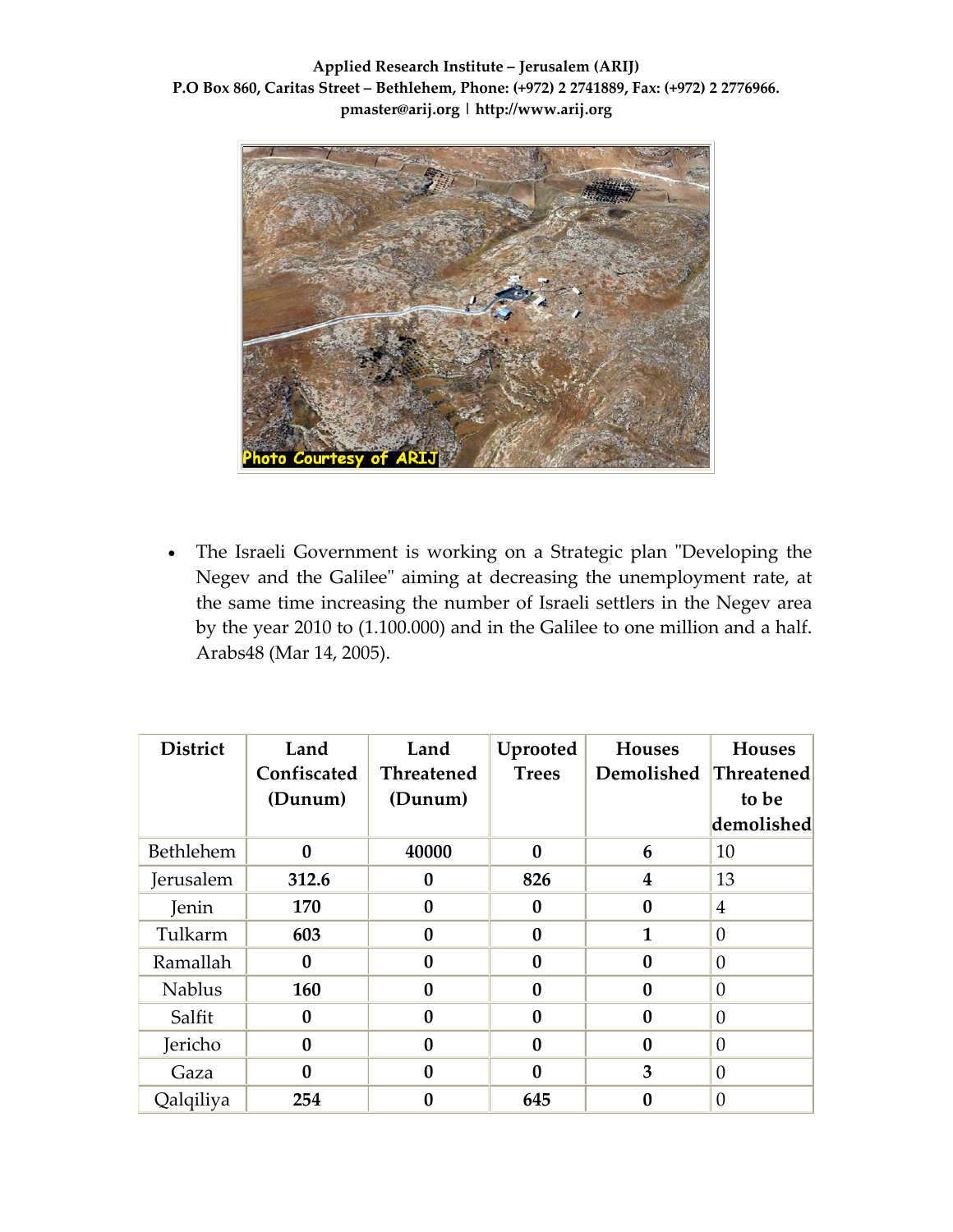

• The Israeli Government is working on a Strategic plan "Developing the Negev and the Galilee" aiming at decreasing the unemployment rate, at the same time increasing the number of Israeli settlers in the Negev area by the year 2010 to (1.100.000) and in the Galilee to one million and a half. Arabs48 (Mar 14, 2005).

| <b>District</b> | Land<br>Confiscated<br>(Dunum) | Land<br><b>Threatened</b><br>(Dunum) | Uprooted<br><b>Trees</b> | <b>Houses</b><br>Demolished | <b>Houses</b><br><b>Threatened</b><br>to be |
|-----------------|--------------------------------|--------------------------------------|--------------------------|-----------------------------|---------------------------------------------|
|                 |                                |                                      |                          |                             | demolished                                  |
| Bethlehem       | $\mathbf{0}$                   | 40000                                | $\bf{0}$                 | 6                           | 10                                          |
| Jerusalem       | 312.6                          | 0                                    | 826                      | $\overline{\mathbf{4}}$     | 13                                          |
| Jenin           | 170                            | $\bf{0}$                             | 0                        | $\bf{0}$                    | $\overline{4}$                              |
| Tulkarm         | 603                            | 0                                    | 0                        | $\mathbf{1}$                | $\theta$                                    |
| Ramallah        | $\mathbf{0}$                   | 0                                    | 0                        | $\bf{0}$                    | $\boldsymbol{0}$                            |
| <b>Nablus</b>   | 160                            | $\bf{0}$                             | $\mathbf{0}$             | $\bf{0}$                    | $\overline{0}$                              |
| Salfit          | $\bf{0}$                       | 0                                    | $\bf{0}$                 | $\bf{0}$                    | $\overline{0}$                              |
| Jericho         | $\bf{0}$                       | 0                                    | 0                        | $\bf{0}$                    | $\overline{0}$                              |
| Gaza            | $\mathbf{0}$                   | 0                                    | O                        | 3                           | $\theta$                                    |
| Qalqiliya       | 254                            | 0                                    | 645                      | 0                           | $\overline{0}$                              |